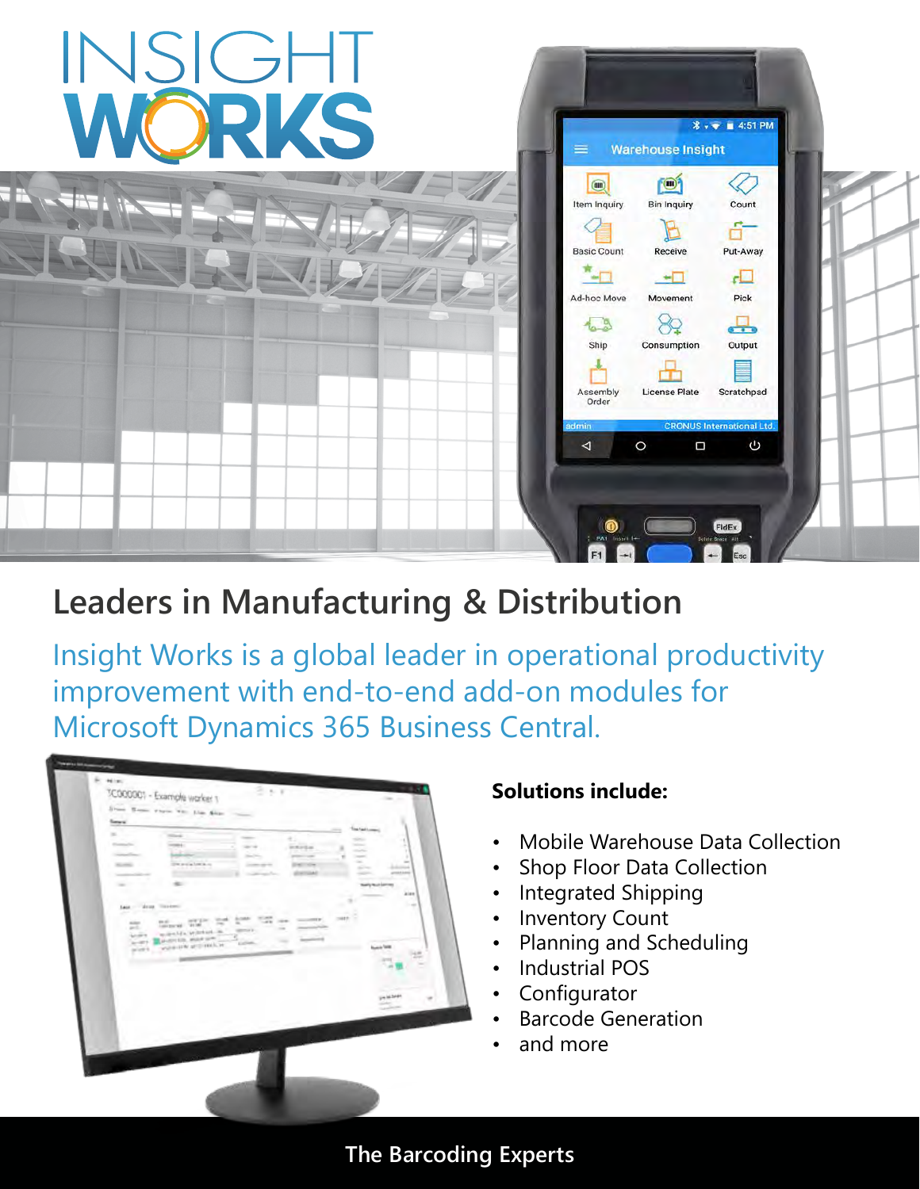

# **Leaders in Manufacturing & Distribution**

Insight Works is a global leader in operational productivity improvement with end-to-end add-on modules for Microsoft Dynamics 365 Business Central.

|                   | TC000001 - Example worker 1<br>the con-<br>State Home ways will the fear                                                                                                                                                                                                                                                                                                                                                                                                                                                       |  |
|-------------------|--------------------------------------------------------------------------------------------------------------------------------------------------------------------------------------------------------------------------------------------------------------------------------------------------------------------------------------------------------------------------------------------------------------------------------------------------------------------------------------------------------------------------------|--|
| Sew of            |                                                                                                                                                                                                                                                                                                                                                                                                                                                                                                                                |  |
|                   | Time Aged Looms<br><b>STAND</b>                                                                                                                                                                                                                                                                                                                                                                                                                                                                                                |  |
| <b>Company</b>    | e.<br><b>STATE</b><br><b>Service</b><br>--<br><b>Service</b>                                                                                                                                                                                                                                                                                                                                                                                                                                                                   |  |
| <b>Consulting</b> | <b>HAVEN</b><br>$\frac{1}{2} \left( \frac{1}{2} \right) \left( \frac{1}{2} \right) \left( \frac{1}{2} \right) \left( \frac{1}{2} \right) \left( \frac{1}{2} \right) \left( \frac{1}{2} \right) \left( \frac{1}{2} \right) \left( \frac{1}{2} \right) \left( \frac{1}{2} \right) \left( \frac{1}{2} \right) \left( \frac{1}{2} \right) \left( \frac{1}{2} \right) \left( \frac{1}{2} \right) \left( \frac{1}{2} \right) \left( \frac{1}{2} \right) \left( \frac{1}{2} \right) \left( \frac$<br><b>Septime</b><br>$-2$<br>$\sim$ |  |
| <b>Williams</b>   | $\sim$<br>$\frac{1}{2}$<br>the available to a<br>$\sim$<br>Concerte and the Con-<br>$\overline{\phantom{a}}$<br>-                                                                                                                                                                                                                                                                                                                                                                                                              |  |
|                   | americans<br><b>SILAF</b><br>$\frac{1}{2} \left( \frac{1}{2} \right) \left( \frac{1}{2} \right) \left( \frac{1}{2} \right)$<br>Controller and                                                                                                                                                                                                                                                                                                                                                                                  |  |
| $\sim$            | ٠<br><b>Sales Auto Letters</b>                                                                                                                                                                                                                                                                                                                                                                                                                                                                                                 |  |
|                   | aise                                                                                                                                                                                                                                                                                                                                                                                                                                                                                                                           |  |
|                   | $\rightarrow$<br>۰<br>$-10.000$<br><b>Sept. - Street This book</b><br>______                                                                                                                                                                                                                                                                                                                                                                                                                                                   |  |
|                   | publication<br>$\frac{1}{2} \frac{1}{2} \frac{1}{2} \frac{1}{2} \frac{1}{2} \frac{1}{2} \frac{1}{2} \frac{1}{2} \frac{1}{2} \frac{1}{2} \frac{1}{2} \frac{1}{2} \frac{1}{2} \frac{1}{2} \frac{1}{2} \frac{1}{2} \frac{1}{2} \frac{1}{2} \frac{1}{2} \frac{1}{2} \frac{1}{2} \frac{1}{2} \frac{1}{2} \frac{1}{2} \frac{1}{2} \frac{1}{2} \frac{1}{2} \frac{1}{2} \frac{1}{2} \frac{1}{2} \frac{1}{2} \frac{$                                                                                                                    |  |
|                   | <b>SANTO</b>                                                                                                                                                                                                                                                                                                                                                                                                                                                                                                                   |  |
|                   |                                                                                                                                                                                                                                                                                                                                                                                                                                                                                                                                |  |
|                   |                                                                                                                                                                                                                                                                                                                                                                                                                                                                                                                                |  |
|                   |                                                                                                                                                                                                                                                                                                                                                                                                                                                                                                                                |  |
|                   |                                                                                                                                                                                                                                                                                                                                                                                                                                                                                                                                |  |
|                   |                                                                                                                                                                                                                                                                                                                                                                                                                                                                                                                                |  |
|                   |                                                                                                                                                                                                                                                                                                                                                                                                                                                                                                                                |  |

# **Solutions include:**

- Mobile Warehouse Data Collection
- **Shop Floor Data Collection**
- Integrated Shipping
- **Inventory Count**
- Planning and Scheduling
- Industrial POS
- Configurator
- Barcode Generation
- and more

**The Barcoding Experts**